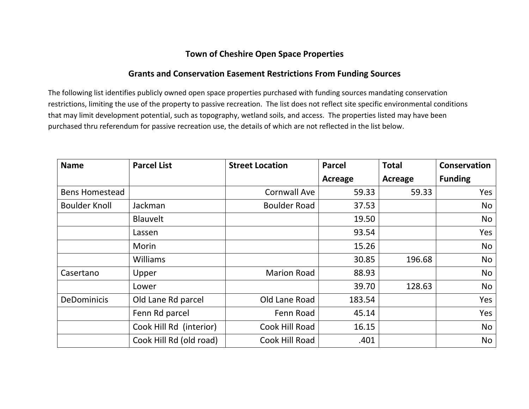## **Town of Cheshire Open Space Properties**

## **Grants and Conservation Easement Restrictions From Funding Sources**

The following list identifies publicly owned open space properties purchased with funding sources mandating conservation restrictions, limiting the use of the property to passive recreation. The list does not reflect site specific environmental conditions that may limit development potential, such as topography, wetland soils, and access. The properties listed may have been purchased thru referendum for passive recreation use, the details of which are not reflected in the list below.

| <b>Name</b>           | <b>Parcel List</b>      | <b>Street Location</b> | <b>Parcel</b> | <b>Total</b>   | <b>Conservation</b> |
|-----------------------|-------------------------|------------------------|---------------|----------------|---------------------|
|                       |                         |                        | Acreage       | <b>Acreage</b> | <b>Funding</b>      |
| <b>Bens Homestead</b> |                         | <b>Cornwall Ave</b>    | 59.33         | 59.33          | Yes                 |
| <b>Boulder Knoll</b>  | Jackman                 | <b>Boulder Road</b>    | 37.53         |                | No                  |
|                       | <b>Blauvelt</b>         |                        | 19.50         |                | No                  |
|                       | Lassen                  |                        | 93.54         |                | Yes                 |
|                       | Morin                   |                        | 15.26         |                | No                  |
|                       | <b>Williams</b>         |                        | 30.85         | 196.68         | No                  |
| Casertano             | Upper                   | <b>Marion Road</b>     | 88.93         |                | No                  |
|                       | Lower                   |                        | 39.70         | 128.63         | No                  |
| <b>DeDominicis</b>    | Old Lane Rd parcel      | Old Lane Road          | 183.54        |                | Yes                 |
|                       | Fenn Rd parcel          | Fenn Road              | 45.14         |                | Yes                 |
|                       | Cook Hill Rd (interior) | Cook Hill Road         | 16.15         |                | <b>No</b>           |
|                       | Cook Hill Rd (old road) | Cook Hill Road         | .401          |                | No                  |